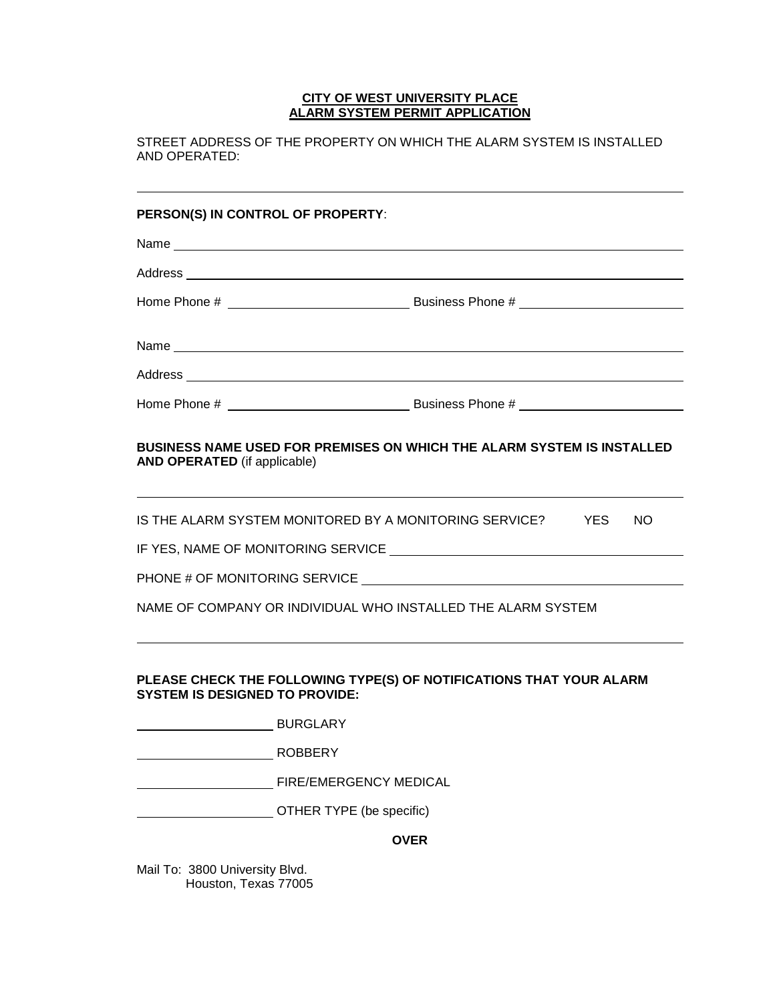## **CITY OF WEST UNIVERSITY PLACE ALARM SYSTEM PERMIT APPLICATION**

STREET ADDRESS OF THE PROPERTY ON WHICH THE ALARM SYSTEM IS INSTALLED AND OPERATED:

## **PERSON(S) IN CONTROL OF PROPERTY**:

|                                       | Address <b>contract and contract and contract of the contract of the contract of the contract of the contract of the contract of the contract of the contract of the contract of the contract of the contract of the contract of</b> |
|---------------------------------------|--------------------------------------------------------------------------------------------------------------------------------------------------------------------------------------------------------------------------------------|
|                                       |                                                                                                                                                                                                                                      |
| <b>AND OPERATED</b> (if applicable)   | BUSINESS NAME USED FOR PREMISES ON WHICH THE ALARM SYSTEM IS INSTALLED                                                                                                                                                               |
|                                       | IS THE ALARM SYSTEM MONITORED BY A MONITORING SERVICE? THES<br>NO.                                                                                                                                                                   |
|                                       |                                                                                                                                                                                                                                      |
|                                       |                                                                                                                                                                                                                                      |
|                                       | NAME OF COMPANY OR INDIVIDUAL WHO INSTALLED THE ALARM SYSTEM                                                                                                                                                                         |
| <b>SYSTEM IS DESIGNED TO PROVIDE:</b> | PLEASE CHECK THE FOLLOWING TYPE(S) OF NOTIFICATIONS THAT YOUR ALARM                                                                                                                                                                  |
|                                       |                                                                                                                                                                                                                                      |
|                                       |                                                                                                                                                                                                                                      |
|                                       | FIRE/EMERGENCY MEDICAL                                                                                                                                                                                                               |
|                                       | OTHER TYPE (be specific)                                                                                                                                                                                                             |
|                                       | <b>OVER</b>                                                                                                                                                                                                                          |

Mail To: 3800 University Blvd. Houston, Texas 77005